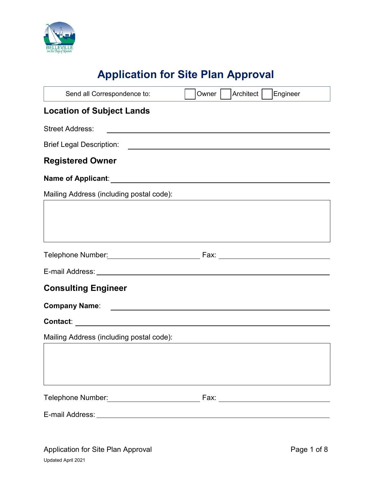

# **Application for Site Plan Approval**

| Send all Correspondence to:              | Architect  <br>Engineer<br>Owner                                                                                      |
|------------------------------------------|-----------------------------------------------------------------------------------------------------------------------|
| <b>Location of Subject Lands</b>         |                                                                                                                       |
| <b>Street Address:</b>                   |                                                                                                                       |
| <b>Brief Legal Description:</b>          | <u> 1989 - Jan Barbara de Santo III e al Indonesia de la contrada de la contrada de la contrada de la contrada de</u> |
| <b>Registered Owner</b>                  |                                                                                                                       |
|                                          |                                                                                                                       |
| Mailing Address (including postal code): |                                                                                                                       |
|                                          |                                                                                                                       |
|                                          |                                                                                                                       |
|                                          |                                                                                                                       |
| <b>Consulting Engineer</b>               |                                                                                                                       |
|                                          |                                                                                                                       |
|                                          |                                                                                                                       |
| Mailing Address (including postal code): |                                                                                                                       |
|                                          |                                                                                                                       |
|                                          |                                                                                                                       |
|                                          |                                                                                                                       |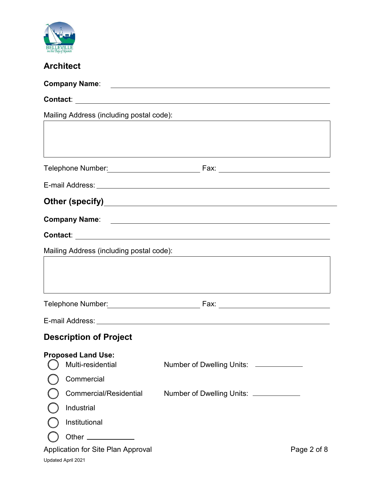

## **Architect**

| Mailing Address (including postal code): |                                          |                                        |             |
|------------------------------------------|------------------------------------------|----------------------------------------|-------------|
|                                          |                                          |                                        |             |
|                                          |                                          |                                        |             |
|                                          |                                          |                                        |             |
|                                          |                                          |                                        |             |
|                                          |                                          |                                        |             |
|                                          |                                          |                                        |             |
|                                          |                                          |                                        |             |
|                                          | Mailing Address (including postal code): |                                        |             |
|                                          |                                          |                                        |             |
|                                          |                                          |                                        |             |
|                                          |                                          |                                        |             |
|                                          |                                          |                                        |             |
|                                          |                                          |                                        |             |
|                                          | <b>Description of Project</b>            |                                        |             |
|                                          | <b>Proposed Land Use:</b>                |                                        |             |
|                                          | Multi-residential                        | Number of Dwelling Units: ___________  |             |
|                                          | Commercial                               |                                        |             |
|                                          | <b>Commercial/Residential</b>            | Number of Dwelling Units: ____________ |             |
|                                          | Industrial                               |                                        |             |
|                                          | Institutional                            |                                        |             |
|                                          | Other ____________                       |                                        |             |
|                                          | Application for Site Plan Approval       |                                        | Page 2 of 8 |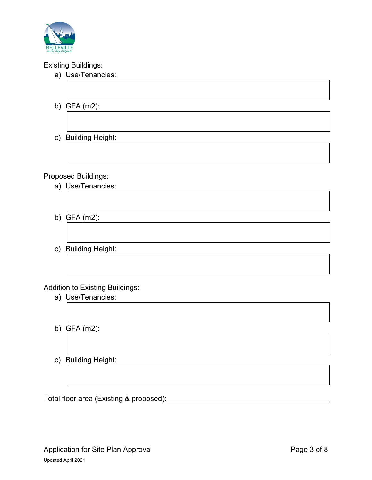

#### Existing Buildings:

| a) Use/Tenancies:          |
|----------------------------|
|                            |
| b) GFA $(m2)$ :            |
|                            |
| c) Building Height:        |
|                            |
|                            |
| <b>Proposed Buildings:</b> |
| a) Use/Tenancies:          |

- b) GFA (m2):
- c) Building Height:

#### Addition to Existing Buildings:

- a) Use/Tenancies:
- b) GFA (m2):
- c) Building Height:

Total floor area (Existing & proposed):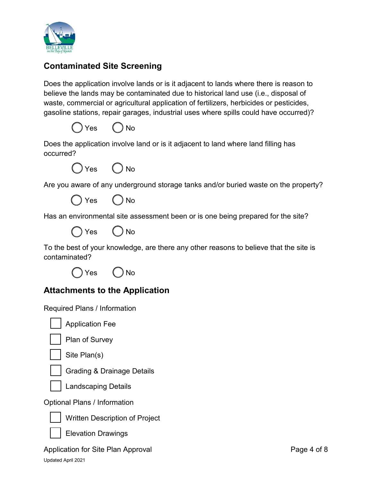

#### **Contaminated Site Screening**

Does the application involve lands or is it adjacent to lands where there is reason to believe the lands may be contaminated due to historical land use (i.e., disposal of waste, commercial or agricultural application of fertilizers, herbicides or pesticides, gasoline stations, repair garages, industrial uses where spills could have occurred)?



Does the application involve land or is it adjacent to land where land filling has occurred?



Are you aware of any underground storage tanks and/or buried waste on the property?

Yes ( ) No

Has an environmental site assessment been or is one being prepared for the site?



To the best of your knowledge, are there any other reasons to believe that the site is contaminated?



#### **Attachments to the Application**

Required Plans / Information



Application Fee



Plan of Survey



Site Plan(s)



Grading & Drainage Details



Optional Plans / Information



Written Description of Project

Elevation Drawings

Application for Site Plan Approval Approval Application 6 and Page 4 of 8 Updated April 2021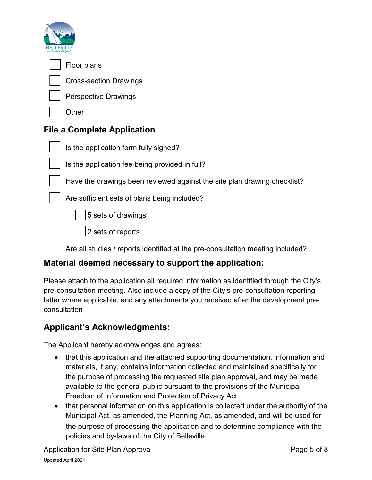



Floor plans

Cross-section Drawings

Perspective Drawings

**Other** 

## **File a Complete Application**



Is the application form fully signed?

Is the application fee being provided in full?

Have the drawings been reviewed against the site plan drawing checklist?

Are sufficient sets of plans being included?

5 sets of drawings

2 sets of reports

Are all studies / reports identified at the pre-consultation meeting included?

## **Material deemed necessary to support the application:**

Please attach to the application all required information as identified through the City's pre-consultation meeting. Also include a copy of the City's pre-consultation reporting letter where applicable, and any attachments you received after the development preconsultation

## **Applicant's Acknowledgments:**

The Applicant hereby acknowledges and agrees:

- that this application and the attached supporting documentation, information and materials, if any, contains information collected and maintained specifically for the purpose of processing the requested site plan approval, and may be made available to the general public pursuant to the provisions of the Municipal Freedom of Information and Protection of Privacy Act;
- that personal information on this application is collected under the authority of the Municipal Act, as amended, the Planning Act, as amended, and will be used for the purpose of processing the application and to determine compliance with the policies and by-laws of the City of Belleville;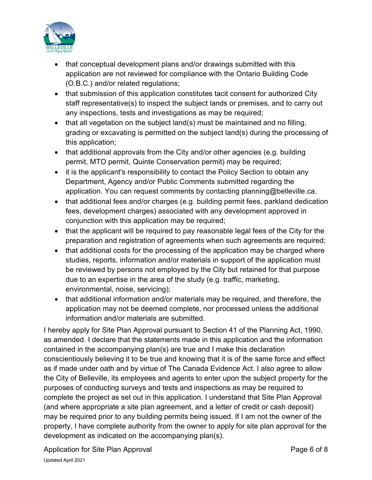

- that conceptual development plans and/or drawings submitted with this application are not reviewed for compliance with the Ontario Building Code (O.B.C.) and/or related regulations;
- that submission of this application constitutes tacit consent for authorized City staff representative(s) to inspect the subject lands or premises, and to carry out any inspections, tests and investigations as may be required;
- that all vegetation on the subject land(s) must be maintained and no filling, grading or excavating is permitted on the subject land(s) during the processing of this application;
- that additional approvals from the City and/or other agencies (e.g. building permit, MTO permit, Quinte Conservation permit) may be required;
- it is the applicant's responsibility to contact the Policy Section to obtain any Department, Agency and/or Public Comments submitted regarding the application. You can request comments by contacting planning@belleville.ca.
- that additional fees and/or charges (e.g. building permit fees, parkland dedication fees, development charges) associated with any development approved in conjunction with this application may be required;
- that the applicant will be required to pay reasonable legal fees of the City for the preparation and registration of agreements when such agreements are required;
- that additional costs for the processing of the application may be charged where studies, reports, information and/or materials in support of the application must be reviewed by persons not employed by the City but retained for that purpose due to an expertise in the area of the study (e.g. traffic, marketing, environmental, noise, servicing);
- that additional information and/or materials may be required, and therefore, the application may not be deemed complete, nor processed unless the additional information and/or materials are submitted.

I hereby apply for Site Plan Approval pursuant to Section 41 of the Planning Act, 1990, as amended. I declare that the statements made in this application and the information contained in the accompanying plan(s) are true and I make this declaration conscientiously believing it to be true and knowing that it is of the same force and effect as if made under oath and by virtue of The Canada Evidence Act. I also agree to allow the City of Belleville, its employees and agents to enter upon the subject property for the purposes of conducting surveys and tests and inspections as may be required to complete the project as set out in this application. I understand that Site Plan Approval (and where appropriate a site plan agreement, and a letter of credit or cash deposit) may be required prior to any building permits being issued. If I am not the owner of the property, I have complete authority from the owner to apply for site plan approval for the development as indicated on the accompanying plan(s).

Application for Site Plan Approval **Page 6 of 8** Application for Site Page 6 of 8 Updated April 2021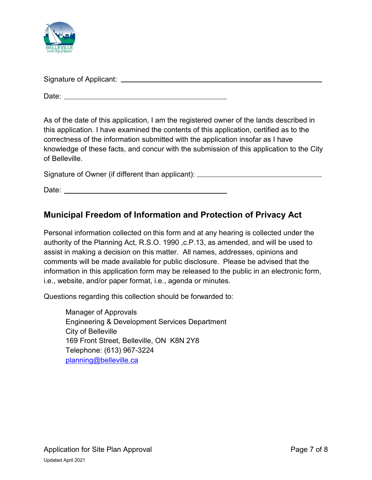

| Signature of Applicant: |  |
|-------------------------|--|
| Date:                   |  |
|                         |  |

As of the date of this application, I am the registered owner of the lands described in this application. I have examined the contents of this application, certified as to the correctness of the information submitted with the application insofar as I have knowledge of these facts, and concur with the submission of this application to the City of Belleville.

Signature of Owner (if different than applicant): \_\_\_\_\_\_\_\_\_\_\_\_\_\_\_\_\_\_\_\_\_\_\_\_\_\_\_\_\_\_

Date:

#### **Municipal Freedom of Information and Protection of Privacy Act**

Personal information collected on this form and at any hearing is collected under the authority of the Planning Act, R.S.O. 1990 ,c.P.13, as amended, and will be used to assist in making a decision on this matter. All names, addresses, opinions and comments will be made available for public disclosure. Please be advised that the information in this application form may be released to the public in an electronic form, i.e., website, and/or paper format, i.e., agenda or minutes.

Questions regarding this collection should be forwarded to:

Manager of Approvals Engineering & Development Services Department City of Belleville 169 Front Street, Belleville, ON K8N 2Y8 Telephone: (613) 967-3224 planning@belleville.ca